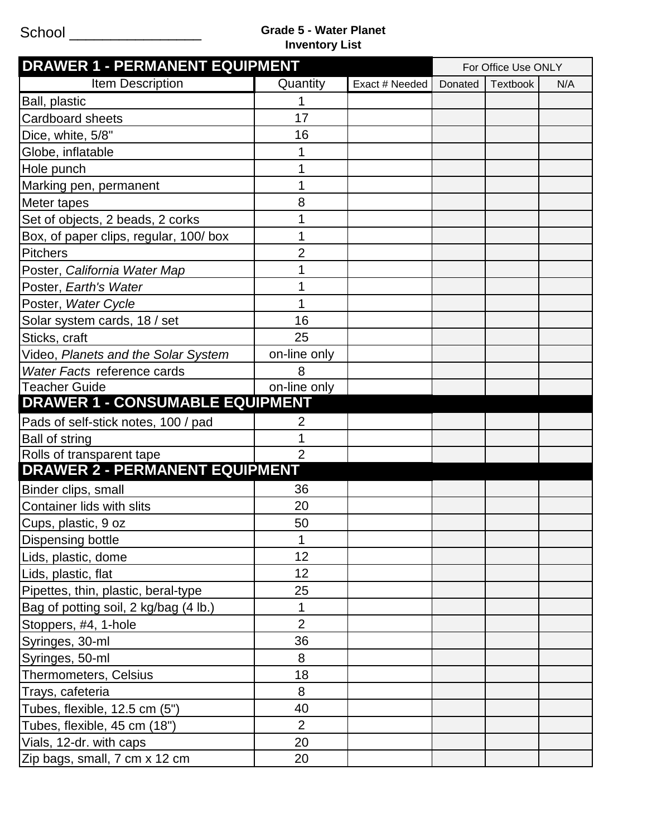## School \_\_\_\_\_\_\_\_\_\_\_\_\_\_\_\_ **Grade 5 - Water Planet Inventory List**

| <b>DRAWER 1 - PERMANENT EQUIPMENT</b>  |                |                | For Office Use ONLY |                 |     |
|----------------------------------------|----------------|----------------|---------------------|-----------------|-----|
| <b>Item Description</b>                | Quantity       | Exact # Needed | Donated             | <b>Textbook</b> | N/A |
| Ball, plastic                          |                |                |                     |                 |     |
| <b>Cardboard sheets</b>                | 17             |                |                     |                 |     |
| Dice, white, 5/8"                      | 16             |                |                     |                 |     |
| Globe, inflatable                      |                |                |                     |                 |     |
| Hole punch                             |                |                |                     |                 |     |
| Marking pen, permanent                 | 1              |                |                     |                 |     |
| Meter tapes                            | 8              |                |                     |                 |     |
| Set of objects, 2 beads, 2 corks       |                |                |                     |                 |     |
| Box, of paper clips, regular, 100/box  | 1              |                |                     |                 |     |
| <b>Pitchers</b>                        | $\overline{2}$ |                |                     |                 |     |
| Poster, California Water Map           | 1              |                |                     |                 |     |
| Poster, Earth's Water                  |                |                |                     |                 |     |
| Poster, Water Cycle                    |                |                |                     |                 |     |
| Solar system cards, 18 / set           | 16             |                |                     |                 |     |
| Sticks, craft                          | 25             |                |                     |                 |     |
| Video, Planets and the Solar System    | on-line only   |                |                     |                 |     |
| Water Facts reference cards            | 8              |                |                     |                 |     |
| <b>Teacher Guide</b>                   | on-line only   |                |                     |                 |     |
| <b>DRAWER 1 - CONSUMABLE EQUIPMENT</b> |                |                |                     |                 |     |
| Pads of self-stick notes, 100 / pad    | 2              |                |                     |                 |     |
| <b>Ball of string</b>                  |                |                |                     |                 |     |
| Rolls of transparent tape              | $\overline{2}$ |                |                     |                 |     |
| <b>DRAWER 2 - PERMANENT EQUIPMENT</b>  |                |                |                     |                 |     |
| Binder clips, small                    | 36             |                |                     |                 |     |
| Container lids with slits              | 20             |                |                     |                 |     |
| Cups, plastic, 9 oz                    | 50             |                |                     |                 |     |
| Dispensing bottle                      | 1              |                |                     |                 |     |
| Lids, plastic, dome                    | 12             |                |                     |                 |     |
| Lids, plastic, flat                    | 12             |                |                     |                 |     |
| Pipettes, thin, plastic, beral-type    | 25             |                |                     |                 |     |
| Bag of potting soil, 2 kg/bag (4 lb.)  | 1              |                |                     |                 |     |
| Stoppers, #4, 1-hole                   | $\overline{2}$ |                |                     |                 |     |
| Syringes, 30-ml                        | 36             |                |                     |                 |     |
| Syringes, 50-ml                        | 8              |                |                     |                 |     |
| Thermometers, Celsius                  | 18             |                |                     |                 |     |
| Trays, cafeteria                       | 8              |                |                     |                 |     |
| Tubes, flexible, 12.5 cm (5")          | 40             |                |                     |                 |     |
| Tubes, flexible, 45 cm (18")           | $\overline{2}$ |                |                     |                 |     |
| Vials, 12-dr. with caps                | 20             |                |                     |                 |     |
| Zip bags, small, 7 cm x 12 cm          | 20             |                |                     |                 |     |